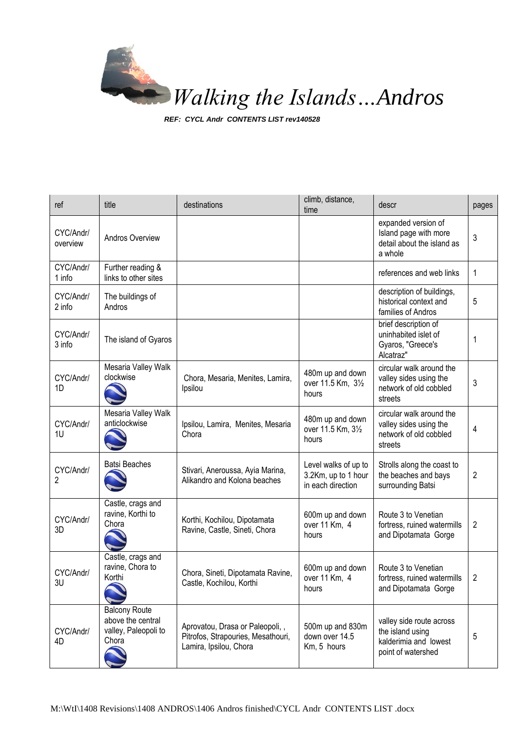

*REF: CYCL Andr CONTENTS LIST rev140528*

| ref                   | title                                                                      | destinations                                                                                    | climb, distance,<br>time                                         | descr                                                                                       | pages |
|-----------------------|----------------------------------------------------------------------------|-------------------------------------------------------------------------------------------------|------------------------------------------------------------------|---------------------------------------------------------------------------------------------|-------|
| CYC/Andr/<br>overview | Andros Overview                                                            |                                                                                                 |                                                                  | expanded version of<br>Island page with more<br>detail about the island as<br>a whole       | 3     |
| CYC/Andr/<br>1 info   | Further reading &<br>links to other sites                                  |                                                                                                 |                                                                  | references and web links                                                                    | 1     |
| CYC/Andr/<br>2 info   | The buildings of<br>Andros                                                 |                                                                                                 |                                                                  | description of buildings,<br>historical context and<br>families of Andros                   | 5     |
| CYC/Andr/<br>3 info   | The island of Gyaros                                                       |                                                                                                 |                                                                  | brief description of<br>uninhabited islet of<br>Gyaros, "Greece's<br>Alcatraz"              | 1     |
| CYC/Andr/<br>1D       | Mesaria Valley Walk<br>clockwise                                           | Chora, Mesaria, Menites, Lamira,<br>Ipsilou                                                     | 480m up and down<br>over 11.5 Km, 31/2<br>hours                  | circular walk around the<br>valley sides using the<br>network of old cobbled<br>streets     | 3     |
| CYC/Andr/<br>1U       | Mesaria Valley Walk<br>anticlockwise                                       | Ipsilou, Lamira, Menites, Mesaria<br>Chora                                                      | 480m up and down<br>over 11.5 Km, 31/2<br>hours                  | circular walk around the<br>valley sides using the<br>network of old cobbled<br>streets     | 4     |
| CYC/Andr/<br>2        | <b>Batsi Beaches</b>                                                       | Stivari, Aneroussa, Ayia Marina,<br>Alikandro and Kolona beaches                                | Level walks of up to<br>3.2Km, up to 1 hour<br>in each direction | Strolls along the coast to<br>the beaches and bays<br>surrounding Batsi                     | 2     |
| CYC/Andr/<br>3D       | Castle, crags and<br>ravine, Korthi to<br>Chora                            | Korthi, Kochilou, Dipotamata<br>Ravine, Castle, Sineti, Chora                                   | 600m up and down<br>over 11 Km, 4<br>hours                       | Route 3 to Venetian<br>fortress, ruined watermills<br>and Dipotamata Gorge                  | 2     |
| CYC/Andr/<br>3U       | Castle, crags and<br>ravine, Chora to<br>Korthi                            | Chora, Sineti, Dipotamata Ravine,<br>Castle, Kochilou, Korthi                                   | 600m up and down<br>over 11 Km, 4<br>hours                       | Route 3 to Venetian<br>fortress, ruined watermills<br>and Dipotamata Gorge                  | 2     |
| CYC/Andr/<br>4D       | <b>Balcony Route</b><br>above the central<br>valley, Paleopoli to<br>Chora | Aprovatou, Drasa or Paleopoli,,<br>Pitrofos, Strapouries, Mesathouri,<br>Lamira, Ipsilou, Chora | 500m up and 830m<br>down over 14.5<br>Km, 5 hours                | valley side route across<br>the island using<br>kalderimia and lowest<br>point of watershed | 5     |